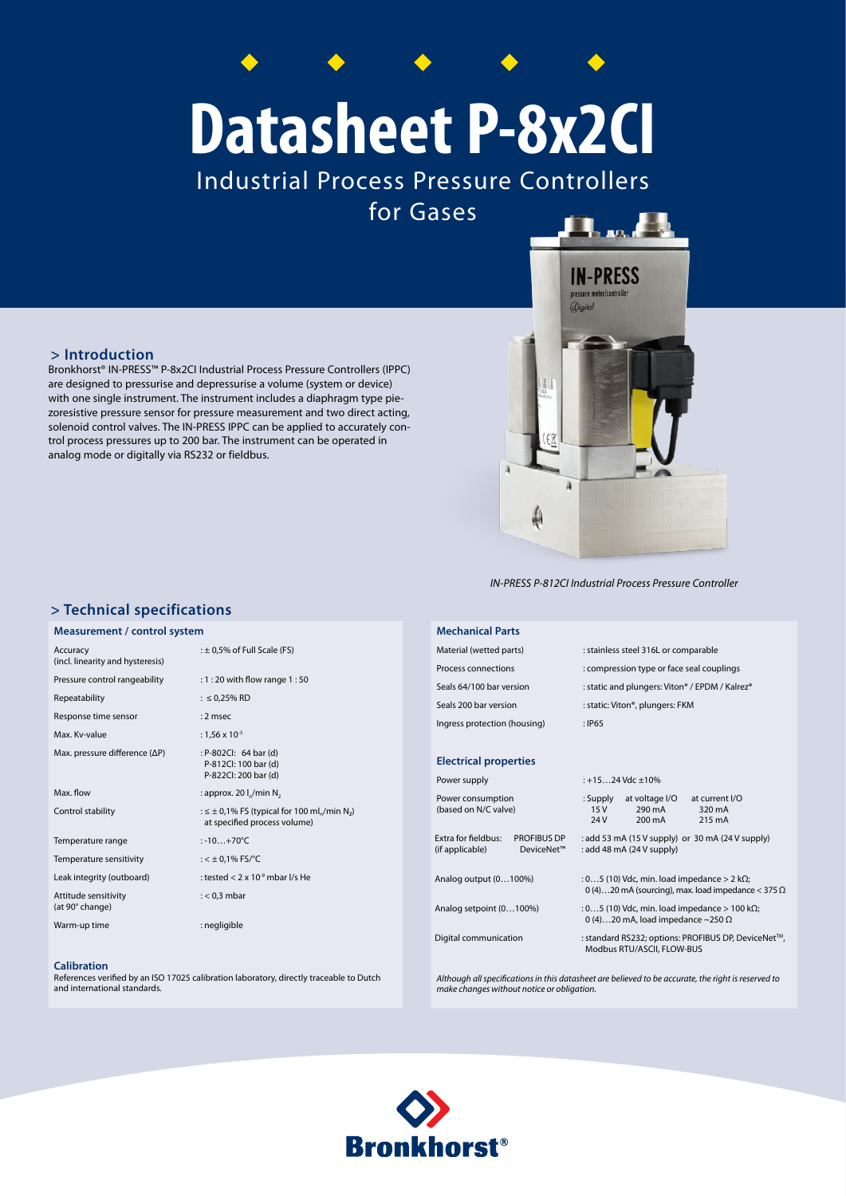# **Datasheet P-8x2CI**

Industrial Process Pressure Controllers for Gases



Bronkhorst® IN-PRESS™ P-8x2CI Industrial Process Pressure Controllers (IPPC) are designed to pressurise and depressurise a volume (system or device) with one single instrument. The instrument includes a diaphragm type piezoresistive pressure sensor for pressure measurement and two direct acting, solenoid control valves. The IN-PRESS IPPC can be applied to accurately control process pressures up to 200 bar. The instrument can be operated in analog mode or digitally via RS232 or fieldbus.



*IN-PRESS P-812CI Industrial Process Pressure Controller*

### **> Technical specifications**

#### **Measurement / control system**

| Accuracy<br>(incl. linearity and hysteresis) | : $\pm$ 0,5% of Full Scale (FS)                                                                              |
|----------------------------------------------|--------------------------------------------------------------------------------------------------------------|
| Pressure control rangeability                | : 1 : 20 with flow range 1 : 50                                                                              |
| Repeatability                                | : $\leq$ 0,25% RD                                                                                            |
| Response time sensor                         | $: 2$ msec                                                                                                   |
| Max. Kv-value                                | : 1,56 x 10 <sup>-3</sup>                                                                                    |
| Max. pressure difference (ΔP)                | : P-802CI: 64 bar (d)<br>P-812Cl: 100 bar (d)<br>P-822Cl: 200 bar (d)                                        |
| Max. flow                                    | : approx. 20 $I_n/m$ in N <sub>2</sub>                                                                       |
| Control stability                            | : $\leq \pm 0.1\%$ FS (typical for 100 ml <sub>n</sub> /min N <sub>2</sub> )<br>at specified process volume) |
| Temperature range                            | $: -10+70^{\circ}C$                                                                                          |
| Temperature sensitivity                      | : $<$ $\pm$ 0,1% FS/°C                                                                                       |
| Leak integrity (outboard)                    | : tested $< 2 \times 10^{-9}$ mbar I/s He                                                                    |
| Attitude sensitivity<br>(at 90° change)      | $: < 0.3$ mbar                                                                                               |
| Warm-up time                                 | : negligible                                                                                                 |

#### **Calibration**

References verified by an ISO 17025 calibration laboratory, directly traceable to Dutch and international standards.

#### **Mechanical Parts**

| Material (wetted parts)      | : stainless steel 316L or comparable           |
|------------------------------|------------------------------------------------|
| Process connections          | : compression type or face seal couplings      |
| Seals 64/100 bar version     | : static and plungers: Viton® / EPDM / Kalrez® |
| Seals 200 bar version        | : static: Viton®, plungers: FKM                |
| Ingress protection (housing) | : IP65                                         |
|                              |                                                |

#### **Electrical properties**

| Power supply                                                               | $: +1524$ Vdc $+10%$                                                                                              |
|----------------------------------------------------------------------------|-------------------------------------------------------------------------------------------------------------------|
| Power consumption<br>(based on N/C valve)                                  | at voltage I/O<br>: Supply<br>at current I/O<br>290 mA<br>15V<br>320 mA<br>24 V<br>$200 \text{ mA}$<br>215 mA     |
| Extra for fieldbus:<br><b>PROFIBUS DP</b><br>(if applicable)<br>DeviceNet™ | : add 53 mA (15 V supply) or 30 mA (24 V supply)<br>: add 48 mA (24 V supply)                                     |
| Analog output (0100%)                                                      | : 05 (10) Vdc, min. load impedance $> 2$ k $\Omega$ ;<br>0(4)20 mA (sourcing), max. load impedance < 375 $\Omega$ |
| Analog setpoint (0100%)                                                    | : 05 (10) Vdc, min. load impedance $> 100$ k $\Omega$ ;<br>0 (4)20 mA, load impedance ~250 $\Omega$               |
| Digital communication                                                      | : standard RS232; options: PROFIBUS DP, DeviceNet™,<br>Modbus RTU/ASCII, FLOW-BUS                                 |

*Although all specifications in this datasheet are believed to be accurate, the right is reserved to make changes without notice or obligation.*